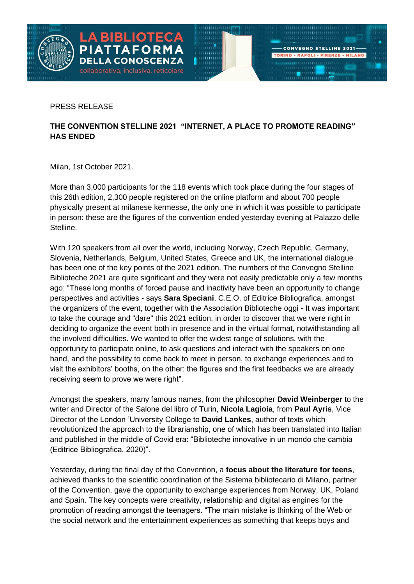

PRESS RELEASE

## **THE CONVENTION STELLINE 2021 "INTERNET, A PLACE TO PROMOTE READING" HAS ENDED**

Milan, 1st October 2021.

More than 3,000 participants for the 118 events which took place during the four stages of this 26th edition, 2,300 people registered on the online platform and about 700 people physically present at milanese kermesse, the only one in which it was possible to participate in person: these are the figures of the convention ended yesterday evening at Palazzo delle Stelline.

With 120 speakers from all over the world, including Norway, Czech Republic, Germany, Slovenia, Netherlands, Belgium, United States, Greece and UK, the international dialogue has been one of the key points of the 2021 edition. The numbers of the Convegno Stelline Biblioteche 2021 are quite significant and they were not easily predictable only a few months ago: "These long months of forced pause and inactivity have been an opportunity to change perspectives and activities - says **Sara Speciani**, C.E.O. of Editrice Bibliografica, amongst the organizers of the event, together with the Association Biblioteche oggi - It was important to take the courage and "dare" this 2021 edition, in order to discover that we were right in deciding to organize the event both in presence and in the virtual format, notwithstanding all the involved difficulties. We wanted to offer the widest range of solutions, with the opportunity to participate online, to ask questions and interact with the speakers on one hand, and the possibility to come back to meet in person, to exchange experiences and to visit the exhibitors' booths, on the other: the figures and the first feedbacks we are already receiving seem to prove we were right".

Amongst the speakers, many famous names, from the philosopher **David Weinberger** to the writer and Director of the Salone del libro of Turin, **Nicola Lagioia**, from **Paul Ayris**, Vice Director of the London 'University College to **David Lankes**, author of texts which revolutionized the approach to the librarianship, one of which has been translated into Italian and published in the middle of Covid era: "Biblioteche innovative in un mondo che cambia (Editrice Bibliografica, 2020)".

Yesterday, during the final day of the Convention, a **focus about the literature for teens**, achieved thanks to the scientific coordination of the Sistema bibliotecario di Milano, partner of the Convention, gave the opportunity to exchange experiences from Norway, UK, Poland and Spain. The key concepts were creativity, relationship and digital as engines for the promotion of reading amongst the teenagers. "The main mistake is thinking of the Web or the social network and the entertainment experiences as something that keeps boys and